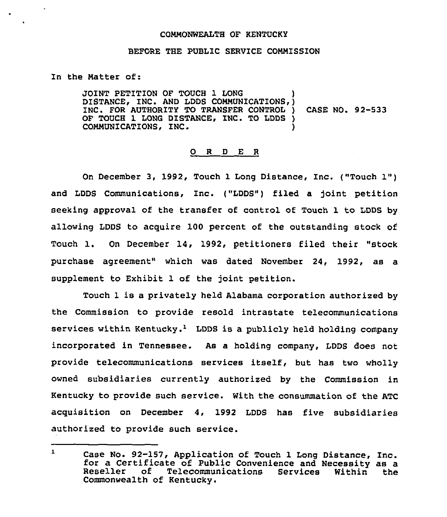## COMMONWEALTH OF KENTUCKY

## BEFORE THE PUBLIC SERVICE COMMISSION

## In the Matter of:

JOINT PETITION OF TOUCH 1 LONG )<br>DISTANCE, INC. AND LDDS COMMUNICATIONS, ) INC. FOR AUTHORITY TO TRANSFER CONTROL ) CASE NO. 92-533 OF TOUCH 1 LONG DISTANCE, INC. TO LDDS ) COMMUNICATIONS, INC. )

## 0 R <sup>D</sup> E <sup>R</sup>

On December 3, 1992, Touch 1 Long Distance, Inc. ("Touch 1") and LDDS Communications, Inc. ("LDDS") filed a joint petition seeking approval of the transfer of control of Touch 1 to LDDS by allowing LDDS to acquire 100 percent of the outstanding stock of Touch l. On December 14, 1992, petitioners filed their "stock purchase agreement" which was dated November 24, 1992, as a supplement to Exhibit 1 of the joint petition.

Touch 1 is a privately held Alabama corporation authorized by the Commission to provide resold intrastate telecommunications services within Kentucky.<sup>1</sup> LDDS is a publicly held holding company incorporated in Tennessee. As a holding company, LDDS does not provide telecommunications services itself, but has two wholly owned subsidiaries currently authorized by the Commission in Kentucky to provide such service. With the consummation of the ATC acguisition on December 4, 1992 LDDS has five subsidiaries authorized to provide such service.

 $\mathbf{I}$ Case No. 92-157, Application of Touch 1 Long Distance, Inc.<br>for a Certificate of Public Convenience and Necessity as a<br>Reseller of Telecommunications Services Within the Telecommunications Services Commonwealth of Kentucky.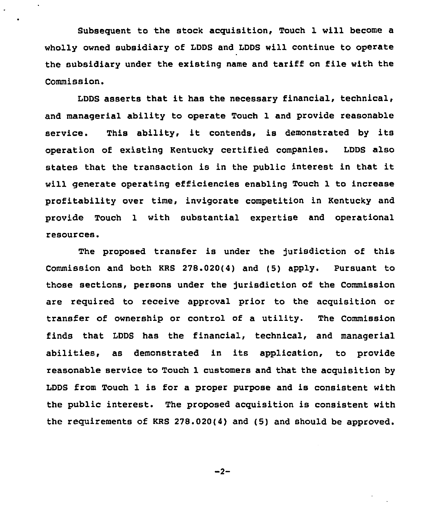Subsequent to the stock acquisition, Touch 1 will become a wholly owned subsidiary of LDDS and LDDS will continue to operate the subsidiary under the existing name and tariff on file with the Commission.

LDDS asserts that it has the necessary financial, technical, and managerial ability to operate Touch 1 and provide reasonable service. This ability, it contends, is demonstrated by its operation of existing Kentucky certified companies. LDDS also states that the transaction is in the public interest in that it will generate operating efficiencies enabling Touch 1 to increase profitability over time, invigorate competition in Kentucky and provide Touch 1 with substantial expertise and operational resources.

The proposed transfer is under the jurisdiction of this Commission and both KRS 278.020(4) and (5) apply. Pursuant to those sections, persons under the )urisdiction of the Commission are required to receive approval prior to the acquisition or transfer of ownership or control of a utility. The Commission finds that LDDS has the financial, technical, and managerial abilities, as demonstrated in its application, to provide reasonable service to Touch 1 customers and that the acquisition by LDDS from Touch 1 is for a proper purpose and is consistent with the public interest. The proposed acquisition is consistent with the requirements of KRS 278.020(4) and (5) and should be approved.

 $-2-$